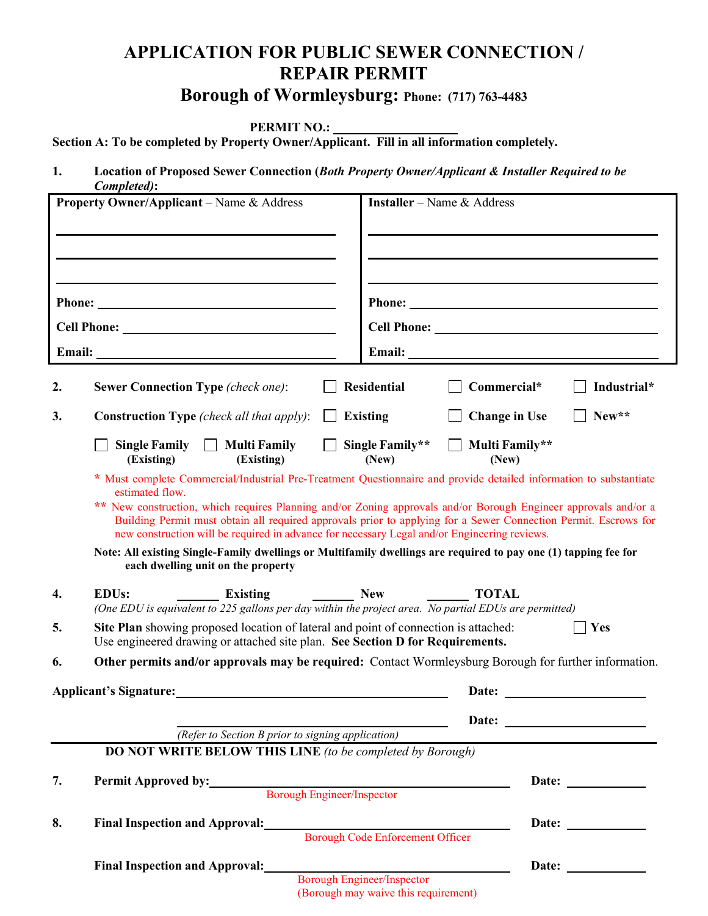## **APPLICATION FOR PUBLIC SEWER CONNECTION / REPAIR PERMIT**

## **Borough of Wormleysburg: Phone: (717) 763-4483**

**PERMIT NO.:** 

**Section A: To be completed by Property Owner/Applicant. Fill in all information completely.**

**1. Location of Proposed Sewer Connection (***Both Property Owner/Applicant & Installer Required to be Completed)***:** 

|                                                  | Completed):                                                                                                                                                                                      |                                                                                                                                                                                                                                    |  |    |                                                  |                                                  |
|--------------------------------------------------|--------------------------------------------------------------------------------------------------------------------------------------------------------------------------------------------------|------------------------------------------------------------------------------------------------------------------------------------------------------------------------------------------------------------------------------------|--|----|--------------------------------------------------|--------------------------------------------------|
| <b>Property Owner/Applicant</b> – Name & Address |                                                                                                                                                                                                  | <b>Installer</b> – Name & Address                                                                                                                                                                                                  |  |    |                                                  |                                                  |
|                                                  |                                                                                                                                                                                                  |                                                                                                                                                                                                                                    |  |    |                                                  |                                                  |
|                                                  |                                                                                                                                                                                                  |                                                                                                                                                                                                                                    |  |    |                                                  |                                                  |
| Cell Phone: New York Cell Phone:                 |                                                                                                                                                                                                  |                                                                                                                                                                                                                                    |  |    |                                                  |                                                  |
|                                                  |                                                                                                                                                                                                  |                                                                                                                                                                                                                                    |  | 2. | <b>Sewer Connection Type (check one):</b>        | <b>Residential</b><br>Commercial*<br>Industrial* |
|                                                  |                                                                                                                                                                                                  |                                                                                                                                                                                                                                    |  | 3. | <b>Construction Type</b> (check all that apply): | New**<br><b>Existing</b><br><b>Change in Use</b> |
|                                                  | Single Family $\Box$ Multi Family<br>(Existing)<br>(Existing)                                                                                                                                    | Single Family**<br>Multi Family**<br>(New)<br>(New)                                                                                                                                                                                |  |    |                                                  |                                                  |
|                                                  | estimated flow.                                                                                                                                                                                  | * Must complete Commercial/Industrial Pre-Treatment Questionnaire and provide detailed information to substantiate                                                                                                                 |  |    |                                                  |                                                  |
|                                                  | new construction will be required in advance for necessary Legal and/or Engineering reviews.                                                                                                     | ** New construction, which requires Planning and/or Zoning approvals and/or Borough Engineer approvals and/or a<br>Building Permit must obtain all required approvals prior to applying for a Sewer Connection Permit. Escrows for |  |    |                                                  |                                                  |
|                                                  | each dwelling unit on the property                                                                                                                                                               | Note: All existing Single-Family dwellings or Multifamily dwellings are required to pay one (1) tapping fee for                                                                                                                    |  |    |                                                  |                                                  |
| 4.                                               | $\frac{1}{\sqrt{1-\frac{1}{2}}}\sqrt{1-\frac{1}{2}}$<br><b>EDUs:</b><br><b>Existing</b><br>(One EDU is equivalent to 225 gallons per day within the project area. No partial EDUs are permitted) | <b>TOTAL</b>                                                                                                                                                                                                                       |  |    |                                                  |                                                  |
| 5.                                               | Site Plan showing proposed location of lateral and point of connection is attached:<br>Yes<br>Use engineered drawing or attached site plan. See Section D for Requirements.                      |                                                                                                                                                                                                                                    |  |    |                                                  |                                                  |
| 6.                                               |                                                                                                                                                                                                  | Other permits and/or approvals may be required: Contact Wormleysburg Borough for further information.                                                                                                                              |  |    |                                                  |                                                  |
| Applicant's Signature:                           |                                                                                                                                                                                                  | Date:                                                                                                                                                                                                                              |  |    |                                                  |                                                  |
|                                                  |                                                                                                                                                                                                  |                                                                                                                                                                                                                                    |  |    |                                                  |                                                  |
|                                                  | (Refer to Section B prior to signing application)                                                                                                                                                |                                                                                                                                                                                                                                    |  |    |                                                  |                                                  |
|                                                  | <b>DO NOT WRITE BELOW THIS LINE</b> (to be completed by Borough)                                                                                                                                 |                                                                                                                                                                                                                                    |  |    |                                                  |                                                  |
| 7.                                               | Permit Approved by:                                                                                                                                                                              | <b>Borough Engineer/Inspector</b>                                                                                                                                                                                                  |  |    |                                                  |                                                  |
|                                                  |                                                                                                                                                                                                  |                                                                                                                                                                                                                                    |  |    |                                                  |                                                  |
| 8.                                               | Final Inspection and Approval:<br>Borough Code Enforcement Officer                                                                                                                               |                                                                                                                                                                                                                                    |  |    |                                                  |                                                  |
|                                                  | <b>Final Inspection and Approval:</b>                                                                                                                                                            | Date: $\qquad \qquad$<br><b>Borough Engineer/Inspector</b>                                                                                                                                                                         |  |    |                                                  |                                                  |
|                                                  |                                                                                                                                                                                                  |                                                                                                                                                                                                                                    |  |    |                                                  |                                                  |

(Borough may waive this requirement)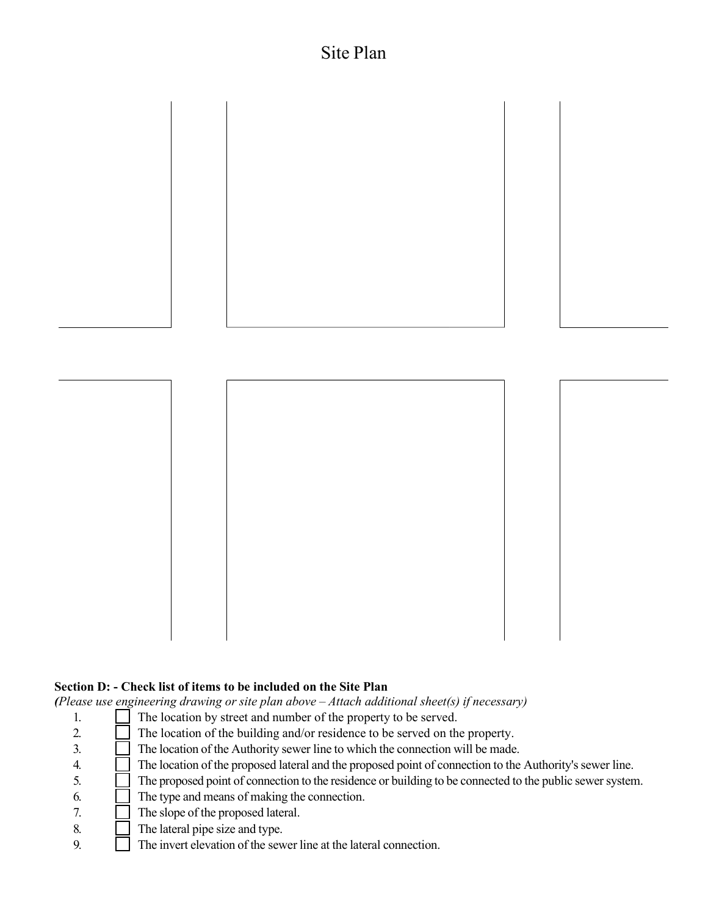## Site Plan



#### **Section D: - Check list of items to be included on the Site Plan**

*(Please use engineering drawing or site plan above – Attach additional sheet(s) if necessary)*

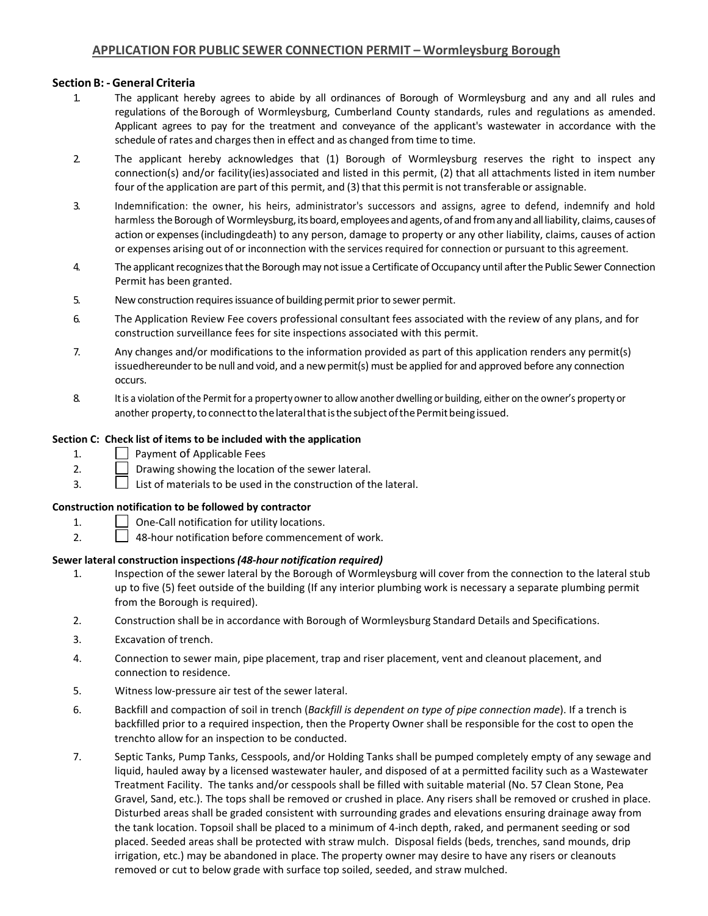#### **Section B: - General Criteria**

- 1. The applicant hereby agrees to abide by all ordinances of Borough of Wormleysburg and any and all rules and regulations of the Borough of Wormleysburg, Cumberland County standards, rules and regulations as amended. Applicant agrees to pay for the treatment and conveyance of the applicant's wastewater in accordance with the schedule of rates and charges then in effect and as changed from time to time.
- 2. The applicant hereby acknowledges that (1) Borough of Wormleysburg reserves the right to inspect any connection(s) and/or facility(ies)associated and listed in this permit, (2) that all attachments listed in item number four of the application are part of this permit, and (3) that this permit is not transferable or assignable.
- 3. Indemnification: the owner, his heirs, administrator's successors and assigns, agree to defend, indemnify and hold harmless the Borough of Wormleysburg, its board, employees and agents, of and from any and all liability, claims, causes of action or expenses(includingdeath) to any person, damage to property or any other liability, claims, causes of action or expenses arising out of or inconnection with the services required for connection or pursuant to this agreement.
- 4. The applicant recognizes that the Borough may not issue a Certificate of Occupancy until after the Public Sewer Connection Permit has been granted.
- 5. New construction requires issuance of building permit prior to sewer permit.
- 6. The Application Review Fee covers professional consultant fees associated with the review of any plans, and for construction surveillance fees for site inspections associated with this permit.
- 7. Any changes and/or modifications to the information provided as part of this application renders any permit(s) issuedhereunder to be null and void, and a new permit(s) must be applied for and approved before any connection occurs.
- 8. Itis a violation ofthe Permit for a property owner to allow another dwelling or building, either on the owner's property or another property, to connect to the lateral that is the subject of the Permit being issued.

#### **Section C: Check list of items to be included with the application**

- 1. Payment of Applicable Fees
- 2.  $\Box$  Drawing showing the location of the sewer lateral.
- 3.  $\Box$  List of materials to be used in the construction of the lateral.

#### **Construction notification to be followed by contractor**

- 1. One-Call notification for utility locations.
- 2.  $\Box$  48-hour notification before commencement of work.

#### **Sewer lateral construction inspections***(48-hour notification required)*

- 1. Inspection of the sewer lateral by the Borough of Wormleysburg will cover from the connection to the lateral stub up to five (5) feet outside of the building (If any interior plumbing work is necessary a separate plumbing permit from the Borough is required).
- 2. Construction shall be in accordance with Borough of Wormleysburg Standard Details and Specifications.
- 3. Excavation of trench.
- 4. Connection to sewer main, pipe placement, trap and riser placement, vent and cleanout placement, and connection to residence.
- 5. Witness low-pressure air test of the sewer lateral.
- 6. Backfill and compaction of soil in trench (*Backfill is dependent on type of pipe connection made*). If a trench is backfilled prior to a required inspection, then the Property Owner shall be responsible for the cost to open the trenchto allow for an inspection to be conducted.
- 7. Septic Tanks, Pump Tanks, Cesspools, and/or Holding Tanks shall be pumped completely empty of any sewage and liquid, hauled away by a licensed wastewater hauler, and disposed of at a permitted facility such as a Wastewater Treatment Facility. The tanks and/or cesspools shall be filled with suitable material (No. 57 Clean Stone, Pea Gravel, Sand, etc.). The tops shall be removed or crushed in place. Any risers shall be removed or crushed in place. Disturbed areas shall be graded consistent with surrounding grades and elevations ensuring drainage away from the tank location. Topsoil shall be placed to a minimum of 4-inch depth, raked, and permanent seeding or sod placed. Seeded areas shall be protected with straw mulch. Disposal fields (beds, trenches, sand mounds, drip irrigation, etc.) may be abandoned in place. The property owner may desire to have any risers or cleanouts removed or cut to below grade with surface top soiled, seeded, and straw mulched.